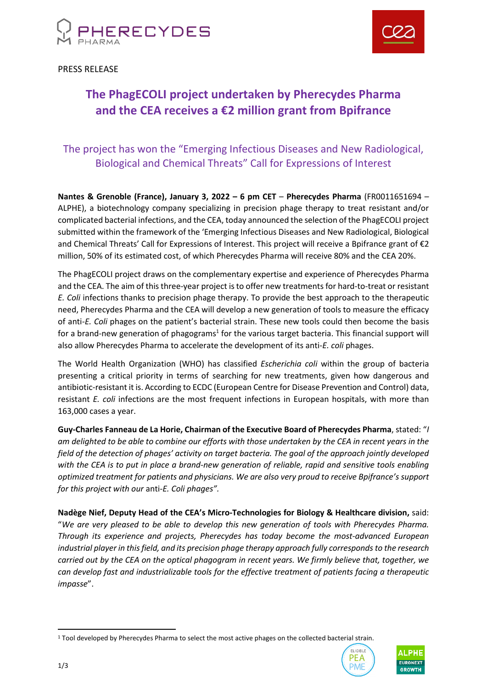



PRESS RELEASE

# **The PhagECOLI project undertaken by Pherecydes Pharma and the CEA receives a €2 million grant from Bpifrance**

## The project has won the "Emerging Infectious Diseases and New Radiological, Biological and Chemical Threats" Call for Expressions of Interest

**Nantes & Grenoble (France), January 3, 2022 – 6 pm CET** – **Pherecydes Pharma** (FR0011651694 – ALPHE), a biotechnology company specializing in precision phage therapy to treat resistant and/or complicated bacterial infections, and the CEA, today announced the selection of the PhagECOLI project submitted within the framework of the 'Emerging Infectious Diseases and New Radiological, Biological and Chemical Threats' Call for Expressions of Interest. This project will receive a Bpifrance grant of €2 million, 50% of its estimated cost, of which Pherecydes Pharma will receive 80% and the CEA 20%.

The PhagECOLI project draws on the complementary expertise and experience of Pherecydes Pharma and the CEA. The aim of this three-year project is to offer new treatments for hard-to-treat or resistant *E. Coli* infections thanks to precision phage therapy. To provide the best approach to the therapeutic need, Pherecydes Pharma and the CEA will develop a new generation of tools to measure the efficacy of anti-*E. Coli* phages on the patient's bacterial strain. These new tools could then become the basis for a brand-new generation of phagograms<sup>1</sup> for the various target bacteria. This financial support will also allow Pherecydes Pharma to accelerate the development of its anti-*E. coli* phages.

The World Health Organization (WHO) has classified *Escherichia coli* within the group of bacteria presenting a critical priority in terms of searching for new treatments, given how dangerous and antibiotic-resistant it is. According to ECDC (European Centre for Disease Prevention and Control) data, resistant *E. coli* infections are the most frequent infections in European hospitals, with more than 163,000 cases a year.

**Guy-Charles Fanneau de La Horie, Chairman of the Executive Board of Pherecydes Pharma**, stated: "*I am delighted to be able to combine our efforts with those undertaken by the CEA in recent years in the field of the detection of phages' activity on target bacteria. The goal of the approach jointly developed with the CEA is to put in place a brand-new generation of reliable, rapid and sensitive tools enabling optimized treatment for patients and physicians. We are also very proud to receive Bpifrance's support for this project with our* anti*-E. Coli phages".*

**Nadège Nief, Deputy Head of the CEA's Micro-Technologies for Biology & Healthcare division,** said: "*We are very pleased to be able to develop this new generation of tools with Pherecydes Pharma. Through its experience and projects, Pherecydes has today become the most-advanced European industrial player in this field, and its precision phage therapy approach fully corresponds to the research carried out by the CEA on the optical phagogram in recent years. We firmly believe that, together, we can develop fast and industrializable tools for the effective treatment of patients facing a therapeutic impasse*".

<sup>1</sup> Tool developed by Pherecydes Pharma to select the most active phages on the collected bacterial strain.



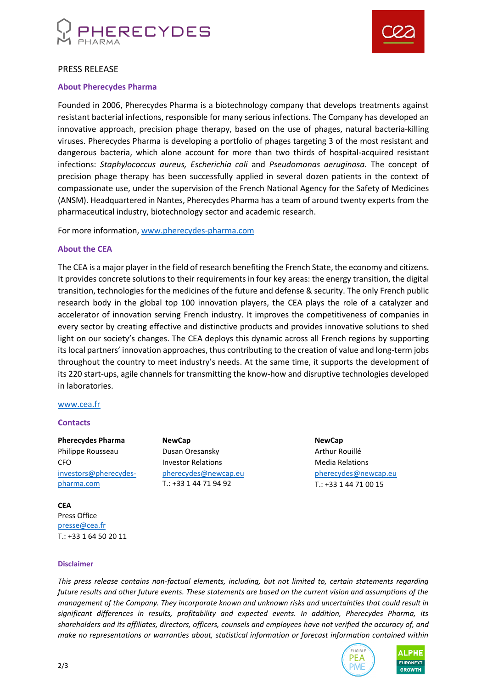



#### PRESS RELEASE

#### **About Pherecydes Pharma**

Founded in 2006, Pherecydes Pharma is a biotechnology company that develops treatments against resistant bacterial infections, responsible for many serious infections. The Company has developed an innovative approach, precision phage therapy, based on the use of phages, natural bacteria-killing viruses. Pherecydes Pharma is developing a portfolio of phages targeting 3 of the most resistant and dangerous bacteria, which alone account for more than two thirds of hospital-acquired resistant infections: *Staphylococcus aureus, Escherichia coli* and *Pseudomonas aeruginosa*. The concept of precision phage therapy has been successfully applied in several dozen patients in the context of compassionate use, under the supervision of the French National Agency for the Safety of Medicines (ANSM). Headquartered in Nantes, Pherecydes Pharma has a team of around twenty experts from the pharmaceutical industry, biotechnology sector and academic research.

For more information, [www.pherecydes-pharma.com](file:///C:/Users/Newcap/AppData/Local/Microsoft/Windows/INetCache/Content.Outlook/VSUEWB7P/www.pherecydes-pharma.com)

#### **About the CEA**

The CEA is a major player in the field of research benefiting the French State, the economy and citizens. It provides concrete solutions to their requirements in four key areas: the energy transition, the digital transition, technologies for the medicines of the future and defense & security. The only French public research body in the global top 100 innovation players, the CEA plays the role of a catalyzer and accelerator of innovation serving French industry. It improves the competitiveness of companies in every sector by creating effective and distinctive products and provides innovative solutions to shed light on our society's changes. The CEA deploys this dynamic across all French regions by supporting its local partners' innovation approaches, thus contributing to the creation of value and long-term jobs throughout the country to meet industry's needs. At the same time, it supports the development of its 220 start-ups, agile channels for transmitting the know-how and disruptive technologies developed in laboratories.

#### [www.cea.fr](http://www.cea.fr/)

#### **Contacts**

**Pherecydes Pharma** Philippe Rousseau CEO [investors@pherecydes](mailto:investors@pherecydes-pharma.com)[pharma.com](mailto:investors@pherecydes-pharma.com)

**CEA** Press Office [presse@cea.fr](mailto:presse@cea.fr) T.: +33 1 64 50 20 11

**Disclaimer**

**NewCap** Dusan Oresansky Investor Relations [pherecydes@newcap.eu](mailto:pherecydes@newcap.eu) T.: +33 1 44 71 94 92

**NewCap** Arthur Rouillé Media Relations [pherecydes@newcap.eu](mailto:pherecydes@newcap.eu) T.: +33 1 44 71 00 15

*This press release contains non-factual elements, including, but not limited to, certain statements regarding future results and other future events. These statements are based on the current vision and assumptions of the management of the Company. They incorporate known and unknown risks and uncertainties that could result in significant differences in results, profitability and expected events. In addition, Pherecydes Pharma, its shareholders and its affiliates, directors, officers, counsels and employees have not verified the accuracy of, and make no representations or warranties about, statistical information or forecast information contained within*